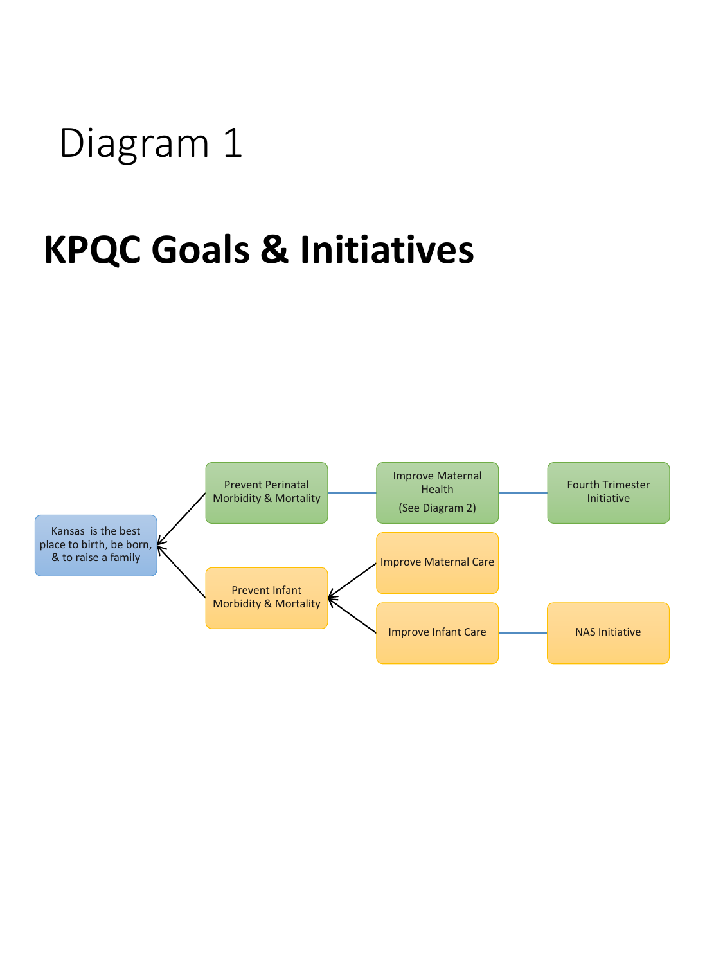## Diagram 1

# **KPQC Goals & Initiatives**

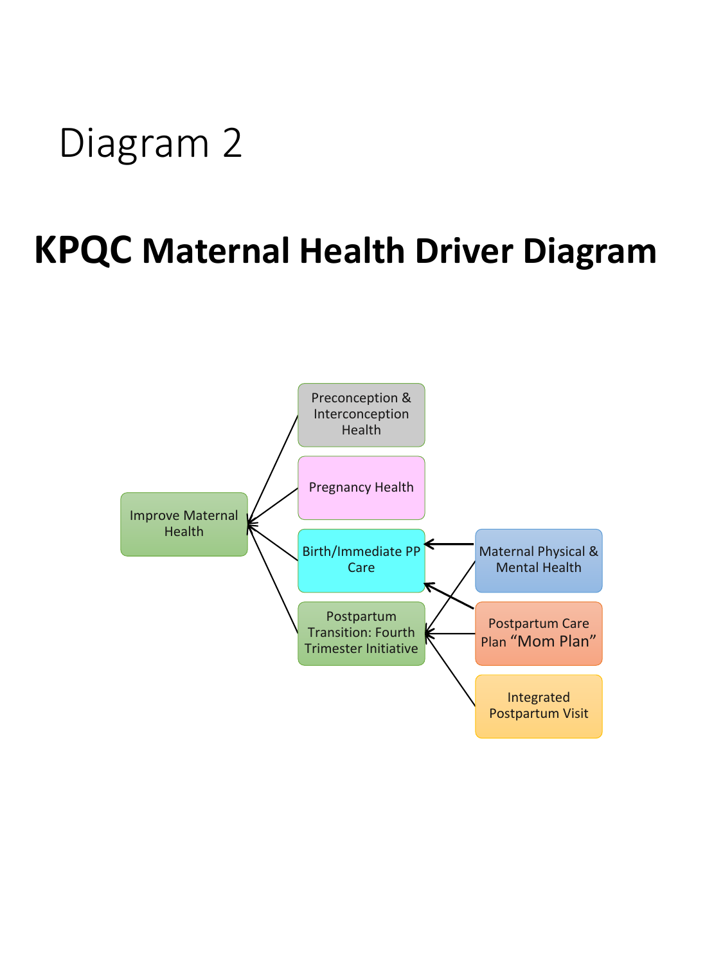# Diagram 2

## **KPQC Maternal Health Driver Diagram**

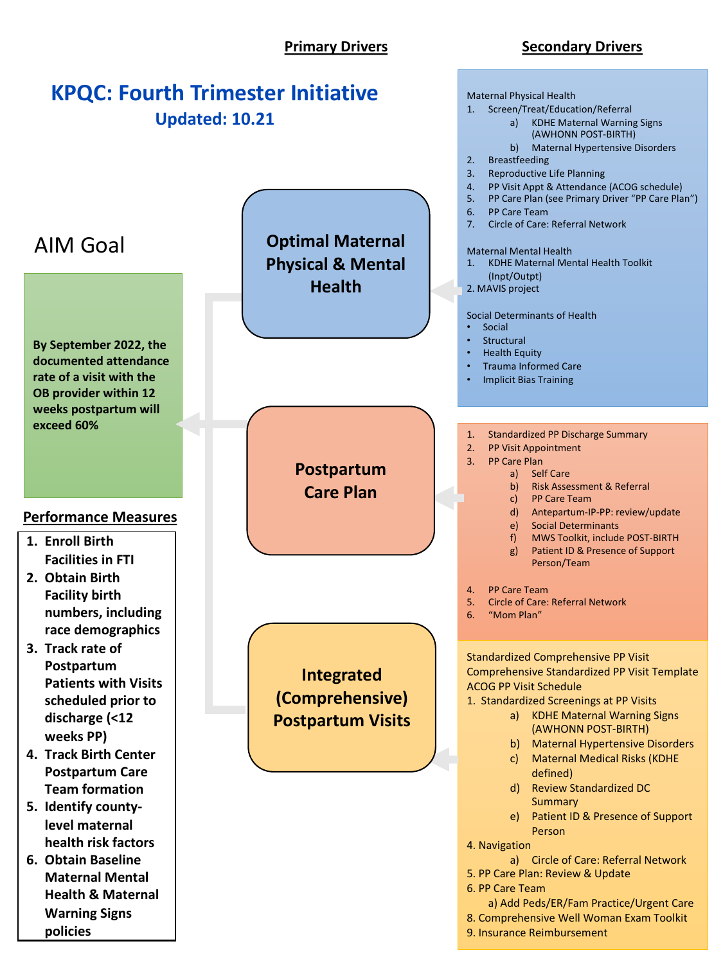### **Primary Drivers Secondary Drivers**